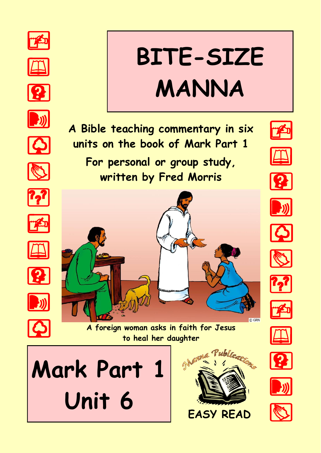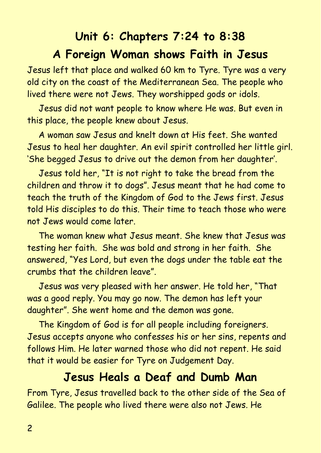## **Unit 6: Chapters 7:24 to 8:38 A Foreign Woman shows Faith in Jesus**

Jesus left that place and walked 60 km to Tyre. Tyre was a very old city on the coast of the Mediterranean Sea. The people who lived there were not Jews. They worshipped gods or idols.

Jesus did not want people to know where He was. But even in this place, the people knew about Jesus.

A woman saw Jesus and knelt down at His feet. She wanted Jesus to heal her daughter. An evil spirit controlled her little girl. 'She begged Jesus to drive out the demon from her daughter'.

Jesus told her, "It is not right to take the bread from the children and throw it to dogs". Jesus meant that he had come to teach the truth of the Kingdom of God to the Jews first. Jesus told His disciples to do this. Their time to teach those who were not Jews would come later.

The woman knew what Jesus meant. She knew that Jesus was testing her faith. She was bold and strong in her faith. She answered, "Yes Lord, but even the dogs under the table eat the crumbs that the children leave".

Jesus was very pleased with her answer. He told her, "That was a good reply. You may go now. The demon has left your daughter". She went home and the demon was gone.

The Kingdom of God is for all people including foreigners. Jesus accepts anyone who confesses his or her sins, repents and follows Him. He later warned those who did not repent. He said that it would be easier for Tyre on Judgement Day.

### **Jesus Heals a Deaf and Dumb Man**

From Tyre, Jesus travelled back to the other side of the Sea of Galilee. The people who lived there were also not Jews. He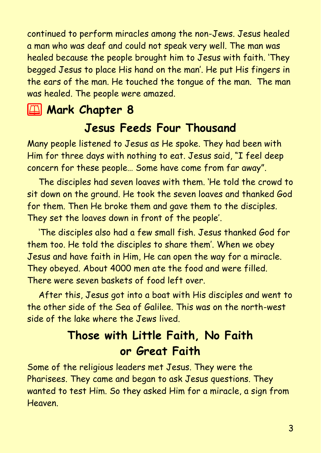continued to perform miracles among the non-Jews. Jesus healed a man who was deaf and could not speak very well. The man was healed because the people brought him to Jesus with faith. 'They begged Jesus to place His hand on the man'. He put His fingers in the ears of the man. He touched the tongue of the man. The man was healed. The people were amazed.

# **2 Mark Chapter 8**

#### **Jesus Feeds Four Thousand**

Many people listened to Jesus as He spoke. They had been with Him for three days with nothing to eat. Jesus said, "I feel deep concern for these people… Some have come from far away".

The disciples had seven loaves with them. 'He told the crowd to sit down on the ground. He took the seven loaves and thanked God for them. Then He broke them and gave them to the disciples. They set the loaves down in front of the people'.

'The disciples also had a few small fish. Jesus thanked God for them too. He told the disciples to share them'. When we obey Jesus and have faith in Him, He can open the way for a miracle. They obeyed. About 4000 men ate the food and were filled. There were seven baskets of food left over.

After this, Jesus got into a boat with His disciples and went to the other side of the Sea of Galilee. This was on the north-west side of the lake where the Jews lived.

### **Those with Little Faith, No Faith or Great Faith**

Some of the religious leaders met Jesus. They were the Pharisees. They came and began to ask Jesus questions. They wanted to test Him. So they asked Him for a miracle, a sign from Heaven.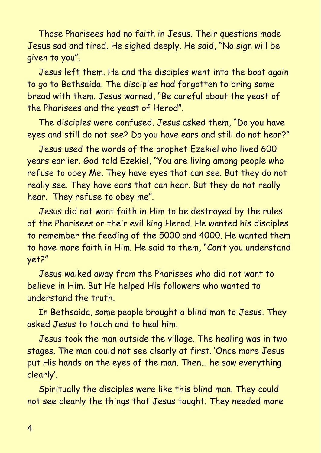Those Pharisees had no faith in Jesus. Their questions made Jesus sad and tired. He sighed deeply. He said, "No sign will be given to you".

Jesus left them. He and the disciples went into the boat again to go to Bethsaida. The disciples had forgotten to bring some bread with them. Jesus warned, "Be careful about the yeast of the Pharisees and the yeast of Herod".

The disciples were confused. Jesus asked them, "Do you have eyes and still do not see? Do you have ears and still do not hear?"

Jesus used the words of the prophet Ezekiel who lived 600 years earlier. God told Ezekiel, "You are living among people who refuse to obey Me. They have eyes that can see. But they do not really see. They have ears that can hear. But they do not really hear. They refuse to obey me".

Jesus did not want faith in Him to be destroyed by the rules of the Pharisees or their evil king Herod. He wanted his disciples to remember the feeding of the 5000 and 4000. He wanted them to have more faith in Him. He said to them, "Can't you understand yet?"

Jesus walked away from the Pharisees who did not want to believe in Him. But He helped His followers who wanted to understand the truth.

In Bethsaida, some people brought a blind man to Jesus. They asked Jesus to touch and to heal him.

Jesus took the man outside the village. The healing was in two stages. The man could not see clearly at first. 'Once more Jesus put His hands on the eyes of the man. Then… he saw everything clearly'.

Spiritually the disciples were like this blind man. They could not see clearly the things that Jesus taught. They needed more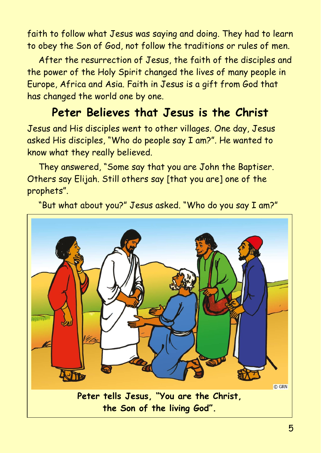faith to follow what Jesus was saying and doing. They had to learn to obey the Son of God, not follow the traditions or rules of men.

After the resurrection of Jesus, the faith of the disciples and the power of the Holy Spirit changed the lives of many people in Europe, Africa and Asia. Faith in Jesus is a gift from God that has changed the world one by one.

### **Peter Believes that Jesus is the Christ**

Jesus and His disciples went to other villages. One day, Jesus asked His disciples, "Who do people say I am?". He wanted to know what they really believed.

They answered, "Some say that you are John the Baptiser. Others say Elijah. Still others say [that you are] one of the prophets".

"But what about you?" Jesus asked. "Who do you say I am?"

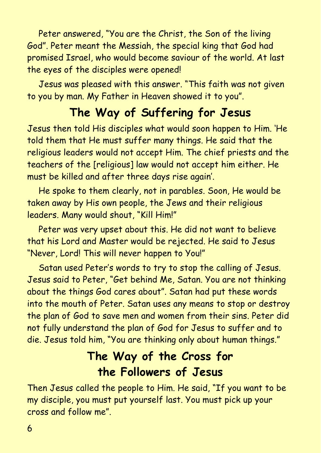Peter answered, "You are the Christ, the Son of the living God". Peter meant the Messiah, the special king that God had promised Israel, who would become saviour of the world. At last the eyes of the disciples were opened!

Jesus was pleased with this answer. "This faith was not given to you by man. My Father in Heaven showed it to you".

## **The Way of Suffering for Jesus**

Jesus then told His disciples what would soon happen to Him. 'He told them that He must suffer many things. He said that the religious leaders would not accept Him. The chief priests and the teachers of the [religious] law would not accept him either. He must be killed and after three days rise again'.

He spoke to them clearly, not in parables. Soon, He would be taken away by His own people, the Jews and their religious leaders. Many would shout, "Kill Him!"

Peter was very upset about this. He did not want to believe that his Lord and Master would be rejected. He said to Jesus "Never, Lord! This will never happen to You!"

Satan used Peter's words to try to stop the calling of Jesus. Jesus said to Peter, "Get behind Me, Satan. You are not thinking about the things God cares about". Satan had put these words into the mouth of Peter. Satan uses any means to stop or destroy the plan of God to save men and women from their sins. Peter did not fully understand the plan of God for Jesus to suffer and to die. Jesus told him, "You are thinking only about human things."

### **The Way of the Cross for the Followers of Jesus**

Then Jesus called the people to Him. He said, "If you want to be my disciple, you must put yourself last. You must pick up your cross and follow me".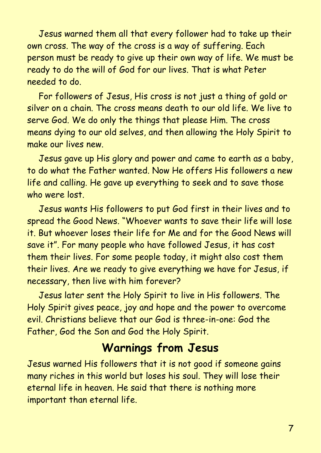Jesus warned them all that every follower had to take up their own cross. The way of the cross is a way of suffering. Each person must be ready to give up their own way of life. We must be ready to do the will of God for our lives. That is what Peter needed to do.

For followers of Jesus, His cross is not just a thing of gold or silver on a chain. The cross means death to our old life. We live to serve God. We do only the things that please Him. The cross means dying to our old selves, and then allowing the Holy Spirit to make our lives new.

Jesus gave up His glory and power and came to earth as a baby, to do what the Father wanted. Now He offers His followers a new life and calling. He gave up everything to seek and to save those who were lost.

Jesus wants His followers to put God first in their lives and to spread the Good News. "Whoever wants to save their life will lose it. But whoever loses their life for Me and for the Good News will save it". For many people who have followed Jesus, it has cost them their lives. For some people today, it might also cost them their lives. Are we ready to give everything we have for Jesus, if necessary, then live with him forever?

Jesus later sent the Holy Spirit to live in His followers. The Holy Spirit gives peace, joy and hope and the power to overcome evil. Christians believe that our God is three-in-one: God the Father, God the Son and God the Holy Spirit.

#### **Warnings from Jesus**

Jesus warned His followers that it is not good if someone gains many riches in this world but loses his soul. They will lose their eternal life in heaven. He said that there is nothing more important than eternal life.